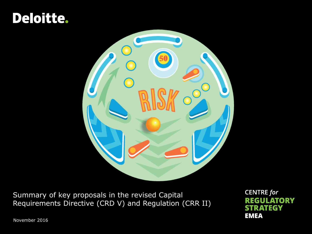# **Deloitte.**



Summary of key proposals in the revised Capital Requirements Directive (CRD V) and Regulation (CRR II) **CENTRE** for **REGULATORY STRATEGY EMEA** 

November 2016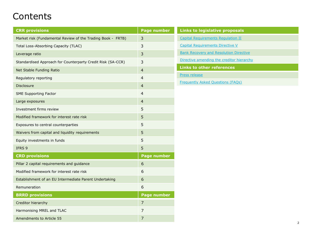#### **Contents**

| <b>CRR provisions</b>                                       | <b>Page number</b> |
|-------------------------------------------------------------|--------------------|
| Market risk (Fundamental Review of the Trading Book - FRTB) | 3                  |
| Total Loss-Absorbing Capacity (TLAC)                        | 3                  |
| Leverage ratio                                              | 3                  |
| Standardised Approach for Counterparty Credit Risk (SA-CCR) | 3                  |
| Net Stable Funding Ratio                                    | $\overline{4}$     |
| Regulatory reporting                                        | $\overline{4}$     |
| <b>Disclosure</b>                                           | $\overline{4}$     |
| <b>SME Supporting Factor</b>                                | 4                  |
| Large exposures                                             | 4                  |
| Investment firms review                                     | 5                  |
| Modified framework for interest rate risk                   | 5                  |
| Exposures to central counterparties                         | 5                  |
| Waivers from capital and liquidity requirements             | 5                  |
| Equity investments in funds                                 | 5                  |
| IFRS 9                                                      | 5                  |
| <b>CRD provisions</b>                                       | <b>Page number</b> |
| Pillar 2 capital requirements and guidance                  | 6                  |
| Modified framework for interest rate risk                   | 6                  |
| Establishment of an EU Intermediate Parent Undertaking      | 6                  |
| Remuneration                                                | 6                  |
| <b>BRRD provisions</b>                                      | Page number        |
| Creditor hierarchy                                          | $\overline{7}$     |
| Harmonising MREL and TLAC                                   | 7                  |
| Amendments to Article 55                                    | 7                  |

| Links to legislative proposals                |
|-----------------------------------------------|
| <b>Capital Requirements Requlation II</b>     |
| Capital Requirements Directive V              |
| <b>Bank Recovery and Resolution Directive</b> |
| Directive amending the creditor hierarchy     |
| <b>Links to other references</b>              |
| <b>Press release</b>                          |
| <b>Frequently Asked Questions (FAQs)</b>      |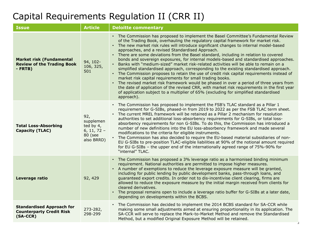### Capital Requirements Regulation II (CRR II)

| <b>Issue</b>                                                                         | <b>Article</b>                                                          | <b>Deloitte commentary</b>                                                                                                                                                                                                                                                                                                                                                                                                                                                                                                                                                                                                                                                                                                                                                                                                                                                                                                                                                                                                                                                                                                                              |
|--------------------------------------------------------------------------------------|-------------------------------------------------------------------------|---------------------------------------------------------------------------------------------------------------------------------------------------------------------------------------------------------------------------------------------------------------------------------------------------------------------------------------------------------------------------------------------------------------------------------------------------------------------------------------------------------------------------------------------------------------------------------------------------------------------------------------------------------------------------------------------------------------------------------------------------------------------------------------------------------------------------------------------------------------------------------------------------------------------------------------------------------------------------------------------------------------------------------------------------------------------------------------------------------------------------------------------------------|
| <b>Market risk (Fundamental</b><br><b>Review of the Trading Book</b><br>$-$ FRTB $)$ | 94, 102-<br>106, 325,<br>501                                            | • The Commission has proposed to implement the Basel Committee's Fundamental Review<br>of the Trading Book, overhauling the regulatory capital framework for market risk.<br>• The new market risk rules will introduce significant changes to internal model-based<br>approaches, and a revised Standardised Approach.<br>• There are some deviations from the Basel standard, including in relation to covered<br>bonds and sovereign exposures, for internal models-based and standardised approaches.<br>Banks with "medium-sized" market risk-related activities will be able to remain on a<br>simplified standardised approach, corresponding to the existing standardised approach.<br>• The Commission proposes to retain the use of credit risk capital requirements instead of<br>market risk capital requirements for small trading books.<br>• The revised market risk framework would be phased in over a period of three years from<br>the date of application of the revised CRR, with market risk requirements in the first year<br>of application subject to a multiplier of 65% (excluding for simplified standardised<br>approach). |
| <b>Total Loss-Absorbing</b><br><b>Capacity (TLAC)</b>                                | 92,<br>supplemen<br>ted by 4,<br>$6, 11, 72 -$<br>80 (see<br>also BRRD) | • The Commission has proposed to implement the FSB's TLAC standard as a Pillar 1<br>requirement for G-SIBs, phased-in from 2019 to 2022 as per the FSB TLAC term sheet.<br>• The current MREL framework will be retained as a Pillar 2 mechanism for resolution<br>authorities to set additional loss-absorbency requirements for G-SIBs, or total loss-<br>absorbency requirements for non G-SIBs. To do this, the Commission has introduced a<br>number of new definitions into the EU loss-absorbency framework and made several<br>modifications to the criteria for eligible instruments.<br>The Commission has also decided to require the EU-based material subsidiaries of non-<br>EU G-SIBs to pre-position TLAC-eligible liabilities at 90% of the notional amount required<br>for EU G-SIBs - the upper end of the internationally agreed range of 75%-90% for<br>"internal" TLAC.                                                                                                                                                                                                                                                           |
| Leverage ratio                                                                       | 92, 429                                                                 | • The Commission has proposed a 3% leverage ratio as a harmonised binding minimum<br>requirement. National authorities are permitted to impose higher measures.<br>• A number of exemptions to reduce the leverage exposure measure will be granted,<br>including for public lending by public development banks, pass-through loans, and<br>guaranteed export credits. In order not to dis-incentivise client clearing, firms are<br>allowed to reduce the exposure measure by the initial margin received from clients for<br>cleared derivatives.<br>. The proposal remains open to include a leverage ratio buffer for G-SIBs at a later date,<br>depending on developments within the BCBS.                                                                                                                                                                                                                                                                                                                                                                                                                                                        |
| <b>Standardised Approach for</b><br><b>Counterparty Credit Risk</b><br>$(SA-CCR)$    | 273-282,<br>298-299                                                     | • The Commission has decided to implement the 2014 BCBS standard for SA-CCR while<br>making some small adjustments aimed at ensuring proportionality in its application. The<br>SA-CCR will serve to replace the Mark-to-Market Method and remove the Standardised<br>Method, but a modified Original Exposure Method will be retained.                                                                                                                                                                                                                                                                                                                                                                                                                                                                                                                                                                                                                                                                                                                                                                                                                 |

3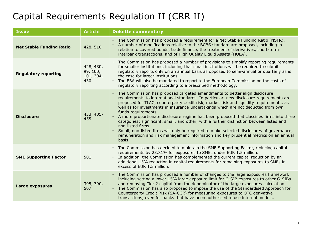### Capital Requirements Regulation II (CRR II)

| <b>Issue</b>                    | <b>Article</b>                            | <b>Deloitte commentary</b>                                                                                                                                                                                                                                                                                                                                                                                                                                                                                                                                                                                                                                                                                                                                                                                 |
|---------------------------------|-------------------------------------------|------------------------------------------------------------------------------------------------------------------------------------------------------------------------------------------------------------------------------------------------------------------------------------------------------------------------------------------------------------------------------------------------------------------------------------------------------------------------------------------------------------------------------------------------------------------------------------------------------------------------------------------------------------------------------------------------------------------------------------------------------------------------------------------------------------|
| <b>Net Stable Funding Ratio</b> | 428, 510                                  | • The Commission has proposed a requirement for a Net Stable Funding Ratio (NSFR).<br>• A number of modifications relative to the BCBS standard are proposed, including in<br>relation to covered bonds, trade finance, the treatment of derivatives, short-term<br>interbank transactions, and of High Quality Liquid Assets (HQLA).                                                                                                                                                                                                                                                                                                                                                                                                                                                                      |
| <b>Regulatory reporting</b>     | 428, 430,<br>99, 100,<br>101, 394,<br>430 | • The Commission has proposed a number of provisions to simplify reporting requirements<br>for smaller institutions, including that small institutions will be required to submit<br>regulatory reports only on an annual basis as opposed to semi-annual or quarterly as is<br>the case for larger institutions.<br>• The EBA will also be mandated to report to the European Commission on the costs of<br>regulatory reporting according to a prescribed methodology.                                                                                                                                                                                                                                                                                                                                   |
| <b>Disclosure</b>               | 433, 435-<br>455                          | • The Commission has proposed targeted amendments to better align disclosure<br>requirements to international standards. In particular, new disclosure requirements are<br>proposed for TLAC, counterparty credit risk, market risk and liquidity requirements, as<br>well as for investments in insurance undertakings which are not deducted from own<br>funds requirements.<br>• A more proportionate disclosure regime has been proposed that classifies firms into three<br>categories: significant, small, and other, with a further distinction between listed and<br>non-listed firms.<br>Small, non-listed firms will only be required to make selected disclosures of governance,<br>$\bullet$<br>remuneration and risk management information and key prudential metrics on an annual<br>basis. |
| <b>SME Supporting Factor</b>    | 501                                       | • The Commission has decided to maintain the SME Supporting Factor, reducing capital<br>requirements by 23.81% for exposures to SMEs under EUR 1.5 million.<br>• In addition, the Commission has complemented the current capital reduction by an<br>additional 15% reduction in capital requirements for remaining exposures to SMEs in<br>excess of EUR 1.5 million.                                                                                                                                                                                                                                                                                                                                                                                                                                     |
| Large exposures                 | 395, 390,<br>507                          | • The Commission has proposed a number of changes to the large exposures framework<br>including setting a lower 15% large exposure limit for G-SIB exposures to other G-SIBs<br>and removing Tier 2 capital from the denominator of the large exposures calculation.<br>• The Commission has also proposed to impose the use of the Standardised Approach for<br>Counterparty Credit Risk (SA-CCR) for measuring exposures to OTC derivative<br>transactions, even for banks that have been authorised to use internal models.                                                                                                                                                                                                                                                                             |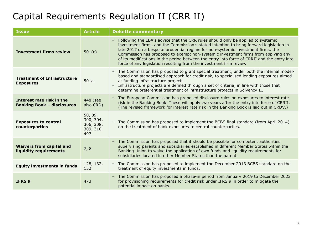### Capital Requirements Regulation II (CRR II)

| <b>Issue</b>                                                   | <b>Article</b>                                        | <b>Deloitte commentary</b>                                                                                                                                                                                                                                                                                                                                                                                                                                                                                                             |
|----------------------------------------------------------------|-------------------------------------------------------|----------------------------------------------------------------------------------------------------------------------------------------------------------------------------------------------------------------------------------------------------------------------------------------------------------------------------------------------------------------------------------------------------------------------------------------------------------------------------------------------------------------------------------------|
| <b>Investment firms review</b>                                 | 501(c)                                                | Following the EBA's advice that the CRR rules should only be applied to systemic<br>$\bullet$<br>investment firms, and the Commission's stated intention to bring forward legislation in<br>late 2017 on a bespoke prudential regime for non-systemic investment firms, the<br>Commission has proposed to exempt non-systemic investment firms from applying any<br>of its modifications in the period between the entry into force of CRRII and the entry into<br>force of any legislation resulting from the investment firm review. |
| <b>Treatment of Infrastructure</b><br><b>Exposures</b>         | 501a                                                  | • The Commission has proposed to grant special treatment, under both the internal model-<br>based and standardised approach for credit risk, to specialised lending exposures aimed<br>at funding infrastructure projects.<br>• Infrastructure projects are defined through a set of criteria, in line with those that<br>determine preferential treatment of infrastructure projects in Solvency II.                                                                                                                                  |
| Interest rate risk in the<br><b>Banking Book - disclosures</b> | 448 (see<br>also CRD)                                 | The European Commission has proposed disclosure rules on exposures to interest rate<br>$\bullet$<br>risk in the Banking Book. These will apply two years after the entry into force of CRRII.<br>(The revised framework for interest rate risk in the Banking Book is laid out in CRDV.)                                                                                                                                                                                                                                               |
| <b>Exposures to central</b><br>counterparties                  | 50, 89,<br>300, 304,<br>306, 308,<br>309, 310,<br>497 | • The Commission has proposed to implement the BCBS final standard (from April 2014)<br>on the treatment of bank exposures to central counterparties.                                                                                                                                                                                                                                                                                                                                                                                  |
| <b>Waivers from capital and</b><br>liquidity requirements      | 7,8                                                   | • The Commission has proposed that it should be possible for competent authorities<br>supervising parents and subsidiaries established in different Member States within the<br>Banking Union to waive the application of own funds and liquidity requirements for<br>subsidiaries located in other Member States than the parent.                                                                                                                                                                                                     |
| <b>Equity investments in funds</b>                             | 128, 132,<br>152                                      | • The Commission has proposed to implement the December 2013 BCBS standard on the<br>treatment of equity investments in funds.                                                                                                                                                                                                                                                                                                                                                                                                         |
| <b>IFRS 9</b>                                                  | 473                                                   | The Commission has proposed a phase-in period from January 2019 to December 2023<br>$\bullet$ .<br>for provisioning requirements for credit risk under IFRS 9 in order to mitigate the<br>potential impact on banks.                                                                                                                                                                                                                                                                                                                   |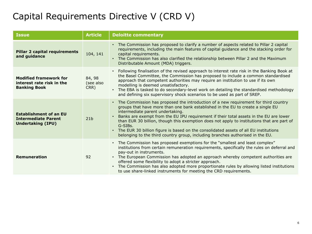## Capital Requirements Directive V (CRD V)

| <b>Issue</b>                                                                            | <b>Article</b>              | <b>Deloitte commentary</b>                                                                                                                                                                                                                                                                                                                                                                                                                                                                                                                                                                             |
|-----------------------------------------------------------------------------------------|-----------------------------|--------------------------------------------------------------------------------------------------------------------------------------------------------------------------------------------------------------------------------------------------------------------------------------------------------------------------------------------------------------------------------------------------------------------------------------------------------------------------------------------------------------------------------------------------------------------------------------------------------|
| <b>Pillar 2 capital requirements</b><br>and guidance                                    | 104, 141                    | • The Commission has proposed to clarify a number of aspects related to Pillar 2 capital<br>requirements, including the main features of capital guidance and the stacking order for<br>capital requirements.<br>The Commission has also clarified the relationship between Pillar 2 and the Maximum<br>$\bullet$<br>Distributable Amount (MDA) triggers.                                                                                                                                                                                                                                              |
| <b>Modified framework for</b><br>interest rate risk in the<br><b>Banking Book</b>       | 84, 98<br>(see also<br>CRR) | Following finalisation of the revised approach to interest rate risk in the Banking Book at<br>the Basel Committee, the Commission has proposed to include a common standardised<br>approach that competent authorities may require an institution to use if its own<br>modelling is deemed unsatisfactory.<br>The EBA is tasked to do secondary-level work on detailing the standardised methodology<br>$\bullet$<br>and defining six supervisory shock scenarios to be used as part of SREP.                                                                                                         |
| <b>Establishment of an EU</b><br><b>Intermediate Parent</b><br><b>Undertaking (IPU)</b> | 21 <sub>b</sub>             | The Commission has proposed the introduction of a new requirement for third country<br>$\bullet$<br>groups that have more than one bank established in the EU to create a single EU<br>intermediate parent undertaking.<br>Banks are exempt from the EU IPU requirement if their total assets in the EU are lower<br>than EUR 30 billion, though this exemption does not apply to institutions that are part of<br>G-SIBs.<br>• The EUR 30 billion figure is based on the consolidated assets of all EU institutions<br>belonging to the third country group, including branches authorised in the EU. |
| <b>Remuneration</b>                                                                     | 92                          | The Commission has proposed exemptions for the "smallest and least complex"<br>$\bullet$<br>institutions from certain remuneration requirements, specifically the rules on deferral and<br>pay-out in instruments.<br>• The European Commission has adopted an approach whereby competent authorities are<br>offered some flexibility to adopt a stricter approach.<br>The Commission has also adopted more proportionate rules by allowing listed institutions<br>to use share-linked instruments for meeting the CRD requirements.                                                                   |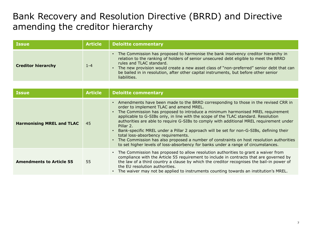#### Bank Recovery and Resolution Directive (BRRD) and Directive amending the creditor hierarchy

| <b>Issue</b>              | <b>Article</b> | Deloitte commentary                                                                                                                                                                                                                                                                                                                                                                                             |
|---------------------------|----------------|-----------------------------------------------------------------------------------------------------------------------------------------------------------------------------------------------------------------------------------------------------------------------------------------------------------------------------------------------------------------------------------------------------------------|
| <b>Creditor hierarchy</b> | $1 - 4$        | • The Commission has proposed to harmonise the bank insolvency creditor hierarchy in<br>relation to the ranking of holders of senior unsecured debt eligible to meet the BRRD<br>rules and TLAC standard.<br>• The new provision would create a new asset class of "non-preferred" senior debt that can<br>be bailed in in resolution, after other capital instruments, but before other senior<br>liabilities. |

| <b>Issue</b>                     | <b>Article</b> | <b>Deloitte commentary</b>                                                                                                                                                                                                                                                                                                                                                                                                                                                                                                                                                                                                                                                                                                                     |
|----------------------------------|----------------|------------------------------------------------------------------------------------------------------------------------------------------------------------------------------------------------------------------------------------------------------------------------------------------------------------------------------------------------------------------------------------------------------------------------------------------------------------------------------------------------------------------------------------------------------------------------------------------------------------------------------------------------------------------------------------------------------------------------------------------------|
| <b>Harmonising MREL and TLAC</b> | 45             | • Amendments have been made to the BRRD corresponding to those in the revised CRR in<br>order to implement TLAC and amend MREL.<br>• The Commission has proposed to introduce a minimum harmonised MREL requirement<br>applicable to G-SIBs only, in line with the scope of the TLAC standard. Resolution<br>authorities are able to require G-SIBs to comply with additional MREL requirement under<br>Pillar <sub>2.</sub><br>Bank-specific MREL under a Pillar 2 approach will be set for non-G-SIBs, defining their<br>total loss-absorbency requirements.<br>The Commission has also proposed a number of constraints on host resolution authorities<br>to set higher levels of loss-absorbency for banks under a range of circumstances. |
| <b>Amendments to Article 55</b>  | 55             | • The Commission has proposed to allow resolution authorities to grant a waiver from<br>compliance with the Article 55 requirement to include in contracts that are governed by<br>the law of a third country a clause by which the creditor recognises the bail-in power of<br>the EU resolution authorities.<br>The waiver may not be applied to instruments counting towards an institution's MREL.                                                                                                                                                                                                                                                                                                                                         |